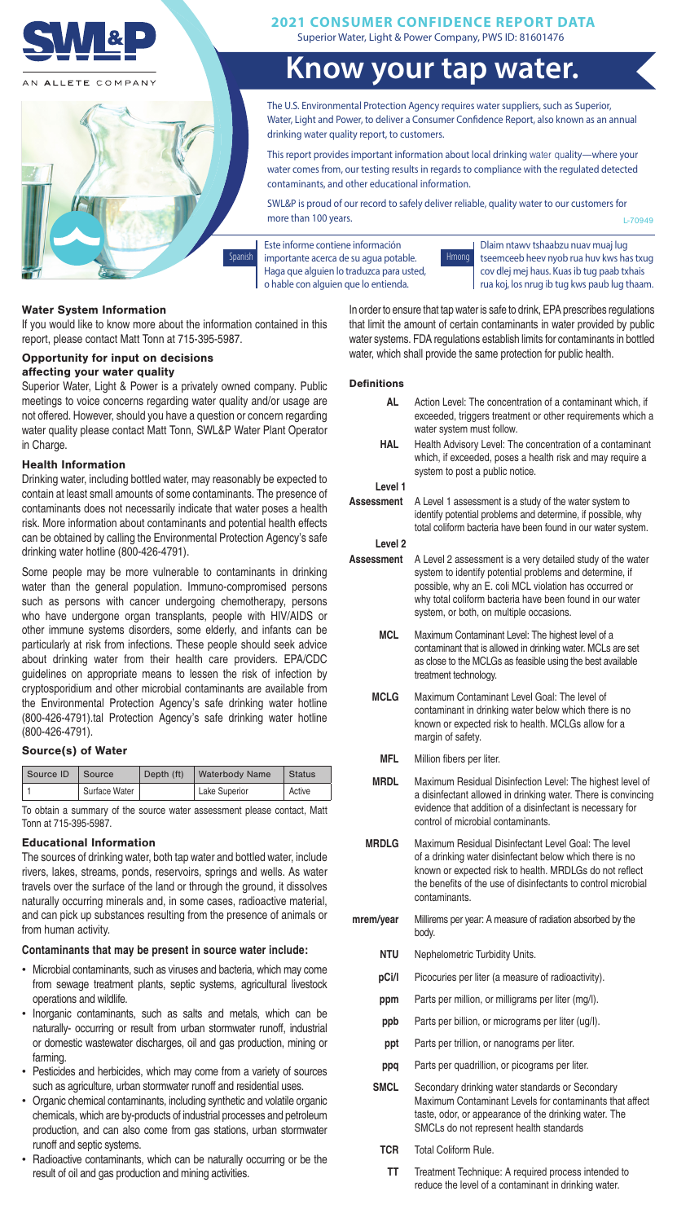

N ALLETE COMPANY



Superior Water, Light & Power Company, PWS ID: 81601476 **2021 CONSUMER CONFIDENCE REPORT DATA**

# **Know your tap water.**

The U.S. Environmental Protection Agency requires water suppliers, such as Superior, Water, Light and Power, to deliver a Consumer Confidence Report, also known as an annual drinking water quality report, to customers.

This report provides important information about local drinking water quality—where your water comes from, our testing results in regards to compliance with the regulated detected contaminants, and other educational information.

SWL&P is proud of our record to safely deliver reliable, quality water to our customers for more than 100 years. L-70949

Este informe contiene información Spanish importante acerca de su agua potable. Hmong Haga que alguien lo traduzca para usted, o hable con alguien que lo entienda.



Dlaim ntawv tshaabzu nuav muaj lug tseemceeb heev nyob rua huv kws has txug cov dlej mej haus. Kuas ib tug paab txhais rua koj, los nrug ib tug kws paub lug thaam.

### Water System Information

If you would like to know more about the information contained in this report, please contact Matt Tonn at 715-395-5987.

#### Opportunity for input on decisions affecting your water quality

Superior Water, Light & Power is a privately owned company. Public meetings to voice concerns regarding water quality and/or usage are not offered. However, should you have a question or concern regarding water quality please contact Matt Tonn, SWL&P Water Plant Operator in Charge.

#### Health Information

Drinking water, including bottled water, may reasonably be expected to contain at least small amounts of some contaminants. The presence of contaminants does not necessarily indicate that water poses a health risk. More information about contaminants and potential health effects can be obtained by calling the Environmental Protection Agency's safe drinking water hotline (800-426-4791).

Some people may be more vulnerable to contaminants in drinking water than the general population. Immuno-compromised persons such as persons with cancer undergoing chemotherapy, persons who have undergone organ transplants, people with HIV/AIDS or other immune systems disorders, some elderly, and infants can be particularly at risk from infections. These people should seek advice about drinking water from their health care providers. EPA/CDC guidelines on appropriate means to lessen the risk of infection by cryptosporidium and other microbial contaminants are available from the Environmental Protection Agency's safe drinking water hotline (800-426-4791).tal Protection Agency's safe drinking water hotline (800-426-4791).

## Source(s) of Water

| Source ID | Source        | Depth (ft) | Waterbody Name | <b>Status</b> |
|-----------|---------------|------------|----------------|---------------|
|           | Surface Water |            | Lake Superior  | Active        |

To obtain a summary of the source water assessment please contact, Matt Tonn at 715-395-5987.

#### Educational Information

The sources of drinking water, both tap water and bottled water, include rivers, lakes, streams, ponds, reservoirs, springs and wells. As water travels over the surface of the land or through the ground, it dissolves naturally occurring minerals and, in some cases, radioactive material, and can pick up substances resulting from the presence of animals or from human activity.

#### Contaminants that may be present in source water include:

- Microbial contaminants, such as viruses and bacteria, which may come from sewage treatment plants, septic systems, agricultural livestock operations and wildlife.
- Inorganic contaminants, such as salts and metals, which can be naturally- occurring or result from urban stormwater runoff, industrial or domestic wastewater discharges, oil and gas production, mining or farming.
- Pesticides and herbicides, which may come from a variety of sources such as agriculture, urban stormwater runoff and residential uses.
- Organic chemical contaminants, including synthetic and volatile organic chemicals, which are by-products of industrial processes and petroleum production, and can also come from gas stations, urban stormwater runoff and septic systems.
- Radioactive contaminants, which can be naturally occurring or be the result of oil and gas production and mining activities.

In order to ensure that tap water is safe to drink, EPA prescribes regulations that limit the amount of certain contaminants in water provided by public water systems. FDA regulations establish limits for contaminants in bottled water, which shall provide the same protection for public health.

#### **Definitions**

| <b>AL</b>          | Action Level: The concentration of a contaminant which, if<br>exceeded, triggers treatment or other requirements which a<br>water system must follow.                                                                                                                                  |
|--------------------|----------------------------------------------------------------------------------------------------------------------------------------------------------------------------------------------------------------------------------------------------------------------------------------|
| <b>HAL</b>         | Health Advisory Level: The concentration of a contaminant<br>which, if exceeded, poses a health risk and may require a<br>system to post a public notice.                                                                                                                              |
| Level 1            |                                                                                                                                                                                                                                                                                        |
| Assessment         | A Level 1 assessment is a study of the water system to<br>identify potential problems and determine, if possible, why<br>total coliform bacteria have been found in our water system.                                                                                                  |
| Level <sub>2</sub> |                                                                                                                                                                                                                                                                                        |
| <b>Assessment</b>  | A Level 2 assessment is a very detailed study of the water<br>system to identify potential problems and determine, if<br>possible, why an E. coli MCL violation has occurred or<br>why total coliform bacteria have been found in our water<br>system, or both, on multiple occasions. |
| <b>MCL</b>         | Maximum Contaminant Level: The highest level of a<br>contaminant that is allowed in drinking water. MCLs are set<br>as close to the MCLGs as feasible using the best available<br>treatment technology.                                                                                |
| <b>MCLG</b>        | Maximum Contaminant Level Goal: The level of<br>contaminant in drinking water below which there is no<br>known or expected risk to health. MCLGs allow for a<br>margin of safety.                                                                                                      |
| <b>MFL</b>         | Million fibers per liter.                                                                                                                                                                                                                                                              |
| <b>MRDL</b>        | Maximum Residual Disinfection Level: The highest level of<br>a disinfectant allowed in drinking water. There is convincing<br>evidence that addition of a disinfectant is necessary for<br>control of microbial contaminants.                                                          |
| <b>MRDLG</b>       | Maximum Residual Disinfectant Level Goal: The level<br>of a drinking water disinfectant below which there is no<br>known or expected risk to health. MRDLGs do not reflect<br>the benefits of the use of disinfectants to control microbial<br>contaminants.                           |
| mrem/year          | Millirems per year: A measure of radiation absorbed by the<br>body.                                                                                                                                                                                                                    |
| <b>NTU</b>         | Nephelometric Turbidity Units.                                                                                                                                                                                                                                                         |
| pCi/l              | Picocuries per liter (a measure of radioactivity).                                                                                                                                                                                                                                     |
| ppm                | Parts per million, or milligrams per liter (mg/l).                                                                                                                                                                                                                                     |
| ppb                | Parts per billion, or micrograms per liter (ug/l).                                                                                                                                                                                                                                     |
| ppt                | Parts per trillion, or nanograms per liter.                                                                                                                                                                                                                                            |
| ppq                | Parts per quadrillion, or picograms per liter.                                                                                                                                                                                                                                         |
|                    |                                                                                                                                                                                                                                                                                        |

- **SMCL** Secondary drinking water standards or Secondary Maximum Contaminant Levels for contaminants that affect taste, odor, or appearance of the drinking water. The SMCLs do not represent health standards
	- **TCR** Total Coliform Rule.
		- TT Treatment Technique: A required process intended to reduce the level of a contaminant in drinking water.